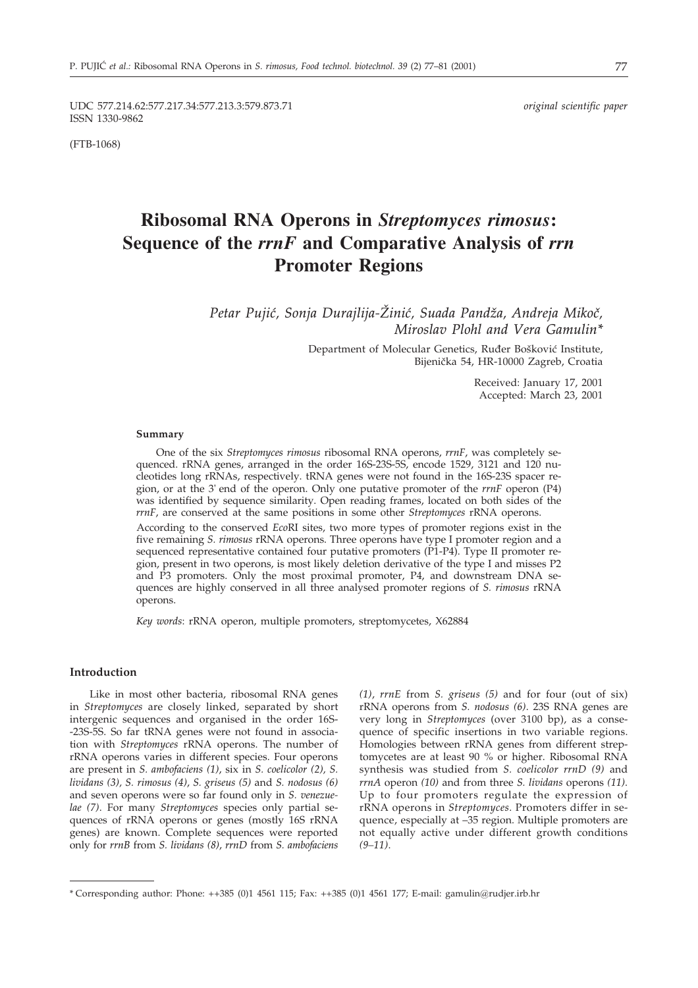UDC 577.214.62:577.217.34:577.213.3:579.873.71 *original scientific paper* ISSN 1330-9862

(FTB-1068)

# **Ribosomal RNA Operons in** *Streptomyces rimosus***: Sequence of the** *rrnF* **and Comparative Analysis of** *rrn* **Promoter Regions**

Petar Pujić, Sonja Durajlija-Žinić, Suada Pandža, Andreja Mikoč, *Miroslav Plohl and Vera Gamulin\**

> Department of Molecular Genetics, Ruđer Bošković Institute, Bijenička 54, HR-10000 Zagreb, Croatia

> > Received: January 17, 2001 Accepted: March 23, 2001

#### **Summary**

operons.

One of the six *Streptomyces rimosus* ribosomal RNA operons, *rrnF*, was completely sequenced. rRNA genes, arranged in the order 16S-23S-5S, encode 1529, 3121 and 120 nucleotides long rRNAs, respectively. tRNA genes were not found in the 16S-23S spacer region, or at the 3' end of the operon. Only one putative promoter of the *rrnF* operon (P4) was identified by sequence similarity. Open reading frames, located on both sides of the *rrnF*, are conserved at the same positions in some other *Streptomyces* rRNA operons. According to the conserved *Eco*RI sites, two more types of promoter regions exist in the five remaining *S. rimosus* rRNA operons. Three operons have type I promoter region and a sequenced representative contained four putative promoters (P1-P4). Type II promoter region, present in two operons, is most likely deletion derivative of the type I and misses P2 and P3 promoters. Only the most proximal promoter, P4, and downstream DNA sequences are highly conserved in all three analysed promoter regions of *S. rimosus* rRNA

*Key words*: rRNA operon, multiple promoters, streptomycetes, X62884

### **Introduction**

Like in most other bacteria, ribosomal RNA genes in *Streptomyces* are closely linked, separated by short intergenic sequences and organised in the order 16S- -23S-5S. So far tRNA genes were not found in association with *Streptomyces* rRNA operons. The number of rRNA operons varies in different species. Four operons are present in *S. ambofaciens (1)*, six in *S. coelicolor (2), S. lividans (3), S. rimosus (4)*, *S. griseus (5)* and *S. nodosus (6)* and seven operons were so far found only in *S. venezuelae (7)*. For many *Streptomyces* species only partial sequences of rRNA operons or genes (mostly 16S rRNA genes) are known. Complete sequences were reported only for *rrnB* from *S. lividans (8)*, *rrnD* from *S. ambofaciens* *(1)*, *rrnE* from *S. griseus (5)* and for four (out of six) rRNA operons from *S. nodosus (6)*. 23S RNA genes are very long in *Streptomyces* (over 3100 bp), as a consequence of specific insertions in two variable regions. Homologies between rRNA genes from different streptomycetes are at least 90 % or higher. Ribosomal RNA synthesis was studied from *S. coelicolor rrnD (9)* and *rrnA* operon *(10)* and from three *S. lividans* operons *(11)*. Up to four promoters regulate the expression of rRNA operons in *Streptomyces*. Promoters differ in sequence, especially at –35 region. Multiple promoters are not equally active under different growth conditions *(9–11)*.

<sup>\*</sup> Corresponding author: Phone: ++385 (0)1 4561 115; Fax: ++385 (0)1 4561 177; E-mail: gamulin*@*rudjer.irb.hr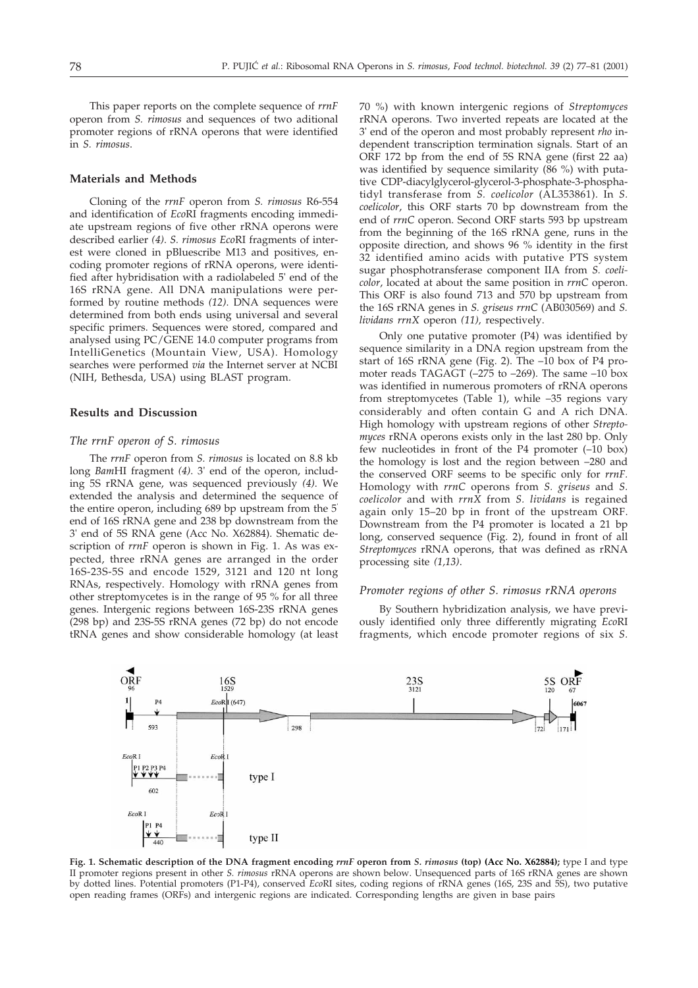This paper reports on the complete sequence of *rrnF* operon from *S. rimosus* and sequences of two aditional promoter regions of rRNA operons that were identified in *S. rimosus*.

#### **Materials and Methods**

Cloning of the *rrnF* operon from *S. rimosus* R6-554 and identification of *Eco*RI fragments encoding immediate upstream regions of five other rRNA operons were described earlier *(4)*. *S. rimosus Eco*RI fragments of interest were cloned in pBluescribe M13 and positives, encoding promoter regions of rRNA operons, were identified after hybridisation with a radiolabeled 5' end of the 16S rRNA gene. All DNA manipulations were performed by routine methods *(12)*. DNA sequences were determined from both ends using universal and several specific primers. Sequences were stored, compared and analysed using PC/GENE 14.0 computer programs from IntelliGenetics (Mountain View, USA). Homology searches were performed *via* the Internet server at NCBI (NIH, Bethesda, USA) using BLAST program.

## **Results and Discussion**

#### *The rrnF operon of S. rimosus*

The *rrnF* operon from *S. rimosus* is located on 8.8 kb long *Bam*HI fragment *(4)*. 3' end of the operon, including 5S rRNA gene, was sequenced previously *(4)*. We extended the analysis and determined the sequence of the entire operon, including 689 bp upstream from the 5' end of 16S rRNA gene and 238 bp downstream from the 3' end of 5S RNA gene (Acc No. X62884). Shematic description of *rrnF* operon is shown in Fig. 1. As was expected, three rRNA genes are arranged in the order 16S-23S-5S and encode 1529, 3121 and 120 nt long RNAs, respectively. Homology with rRNA genes from other streptomycetes is in the range of 95 % for all three genes. Intergenic regions between 16S-23S rRNA genes (298 bp) and 23S-5S rRNA genes (72 bp) do not encode tRNA genes and show considerable homology (at least 70 %) with known intergenic regions of *Streptomyces* rRNA operons. Two inverted repeats are located at the 3' end of the operon and most probably represent *rho* independent transcription termination signals. Start of an ORF 172 bp from the end of 5S RNA gene (first 22 aa) was identified by sequence similarity (86 %) with putative CDP-diacylglycerol-glycerol-3-phosphate-3-phosphatidyl transferase from *S. coelicolor* (AL353861). In *S. coelicolor*, this ORF starts 70 bp downstream from the end of *rrnC* operon. Second ORF starts 593 bp upstream from the beginning of the 16S rRNA gene, runs in the opposite direction, and shows 96 % identity in the first 32 identified amino acids with putative PTS system sugar phosphotransferase component IIA from *S. coelicolor*, located at about the same position in *rrnC* operon. This ORF is also found 713 and 570 bp upstream from the 16S rRNA genes in *S. griseus rrnC* (AB030569) and *S. lividans rrnX* operon *(11),* respectively.

Only one putative promoter (P4) was identified by sequence similarity in a DNA region upstream from the start of 16S rRNA gene (Fig. 2). The –10 box of P4 promoter reads TAGAGT (–275 to –269). The same –10 box was identified in numerous promoters of rRNA operons from streptomycetes (Table 1), while –35 regions vary considerably and often contain G and A rich DNA. High homology with upstream regions of other *Streptomyces* rRNA operons exists only in the last 280 bp. Only few nucleotides in front of the P4 promoter (–10 box) the homology is lost and the region between –280 and the conserved ORF seems to be specific only for *rrnF.* Homology with *rrnC* operons from *S. griseus* and *S. coelicolor* and with *rrnX* from *S. lividans* is regained again only 15–20 bp in front of the upstream ORF. Downstream from the P4 promoter is located a 21 bp long, conserved sequence (Fig. 2), found in front of all *Streptomyces* rRNA operons, that was defined as rRNA processing site *(1,13)*.

#### *Promoter regions of other S. rimosus rRNA operons*

By Southern hybridization analysis, we have previously identified only three differently migrating *Eco*RI fragments, which encode promoter regions of six *S.*



**Fig. 1. Schematic description of the DNA fragment encoding** *rrnF* **operon from** *S. rimosus* **(top) (Acc No. X62884);** type I and type II promoter regions present in other *S. rimosus* rRNA operons are shown below. Unsequenced parts of 16S rRNA genes are shown by dotted lines. Potential promoters (P1-P4), conserved *Eco*RI sites, coding regions of rRNA genes (16S, 23S and 5S), two putative open reading frames (ORFs) and intergenic regions are indicated. Corresponding lengths are given in base pairs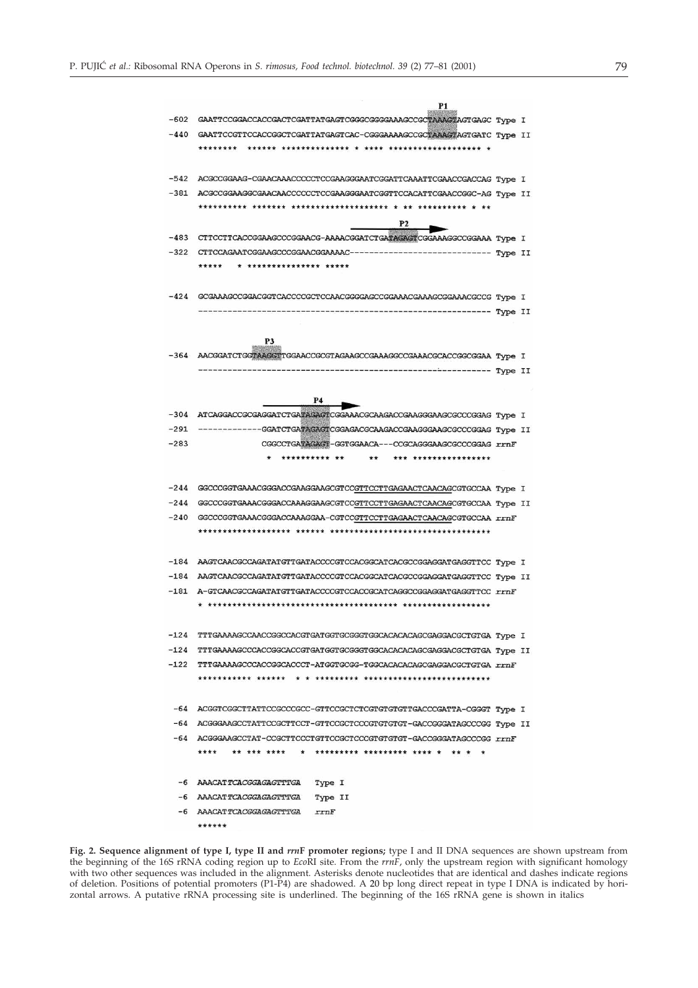|        | P1                                                                               |  |  |  |  |  |
|--------|----------------------------------------------------------------------------------|--|--|--|--|--|
| $-602$ | GAATTCCGGACCACCGACTCGATTATGAGTCGGGCGGGAAAGCCGCTAAAGTAGTGAGC Type I               |  |  |  |  |  |
| $-440$ | GAATTCCGTTCCACCGGCTCGATTATGAGTCAC-CGGGAAAAGCCGCTAAAGTAGTGATC Type II             |  |  |  |  |  |
|        |                                                                                  |  |  |  |  |  |
|        |                                                                                  |  |  |  |  |  |
| $-542$ | ACGCCGGAAG-CGAACAAACCCCCTCCGAAGGGAATCGGATTCAAATTCGAACCGACCAG Type I              |  |  |  |  |  |
| -381   | ACGCCGGAAGGCGAACAACCCCCCCTCCGAAGGGAATCGGTTCCACATTCGAACCGGC-AG Type II            |  |  |  |  |  |
|        |                                                                                  |  |  |  |  |  |
|        | P <sub>2</sub>                                                                   |  |  |  |  |  |
| $-483$ | CTTCCTTCACCGGAAGCCCGGAACG-AAAACGGATCTGATAGAGTCGGAAAGGCCGGAAA Type I              |  |  |  |  |  |
| -322   |                                                                                  |  |  |  |  |  |
|        | * *************** *****<br>*****                                                 |  |  |  |  |  |
|        |                                                                                  |  |  |  |  |  |
| $-424$ | GCGAAAGCCGGACGGTCACCCCGCTCCAACGGGAGCCGGAAACGAAAGCGGAAACGCCG Type I               |  |  |  |  |  |
|        |                                                                                  |  |  |  |  |  |
|        |                                                                                  |  |  |  |  |  |
|        | P3                                                                               |  |  |  |  |  |
|        | -364 AACGGATCTGGTAAGGTTGGAACCGCGTAGAAGCCGAAAGGCCGAAACGCACCGGCGGAA Type I         |  |  |  |  |  |
|        | -------------- Type II                                                           |  |  |  |  |  |
|        |                                                                                  |  |  |  |  |  |
| $-304$ | <b>P4</b><br>ATCAGGACCGCGAGGATCTGATAGAGTCGGAAACGCAAGACCGAAGGGAAGCGCCCGGAG Type I |  |  |  |  |  |
| $-291$ | ----------GGATCTGATAGAGTCGGAGACGCAAGACCGAAGGGAAGCGCCCGGAG Type II                |  |  |  |  |  |
| $-283$ | CGGCCTGATAGAGT-GGTGGAACA---CCGCAGGGAAGCGCCCGGAG rrnF                             |  |  |  |  |  |
|        | * ********** **<br>$\star\star$<br>*** ****************                          |  |  |  |  |  |
|        |                                                                                  |  |  |  |  |  |
| $-244$ | GGCCCGGTGAAACGGGACCGAAGGAAGCGTCCGTTCCTTGAGAACTCAACAGCGTGCCAA Type I              |  |  |  |  |  |
| $-244$ | GGCCCGGTGAAACGGGACCAAAGGAAGCGTCCGTTCCTTGAGAACTCAACAGCGTGCCAA Type II             |  |  |  |  |  |
| $-240$ | GGCCCGGTGAAACGGGACCAAAGGAA-CGTCCGTTCCTTGAGAACTCAACAGCGTGCCAA rrnF                |  |  |  |  |  |
|        |                                                                                  |  |  |  |  |  |
|        |                                                                                  |  |  |  |  |  |
| $-184$ | AAGTCAACGCCAGATATGTTGATACCCCGTCCACGGCATCACGCCGGAGGATGAGGTTCC Type I              |  |  |  |  |  |
| $-184$ | AAGTCAACGCCAGATATGTTGATACCCCGTCCACGGCATCACGCCGGAGGATGAGGTTCC Type II             |  |  |  |  |  |
| $-181$ | A-GTCAACGCCAGATATGTTGATACCCCGTCCACCGCATCAGGCCGGAGGATGAGGTTCC rrnF                |  |  |  |  |  |
|        |                                                                                  |  |  |  |  |  |
|        |                                                                                  |  |  |  |  |  |
| $-124$ |                                                                                  |  |  |  |  |  |
|        |                                                                                  |  |  |  |  |  |
|        | -122 TTTGAAAAGCCCACCGGCACCCT-ATGGTGCGG-TGGCACACACAGCGAGGACGCTGTGA rrnF           |  |  |  |  |  |
|        |                                                                                  |  |  |  |  |  |
|        | -64 ACGGTCGGCTTATTCCGCCCGCC-GTTCCGCTCTCGTGTGTGTTGACCCGATTA-CGGGT Type I          |  |  |  |  |  |
|        | -64 ACGGGAAGCCTATTCCGCTTCCT-GTTCCGCTCCCGTGTGTGT-GACCGGGATAGCCCGG Type II         |  |  |  |  |  |
|        | -64 ACGGGAAGCCTAT-CCGCTTCCCTGTTCCGCTCCCGTGTGTGT-GACCGGGATAGCCCGG rrnF            |  |  |  |  |  |
|        |                                                                                  |  |  |  |  |  |
|        |                                                                                  |  |  |  |  |  |
|        | -6 AAACATTCACGGAGAGTTTGA Type I                                                  |  |  |  |  |  |
|        | -6 AAACATTCACGGAGAGTTTGA Type II                                                 |  |  |  |  |  |
|        | -6 AAACATTCACGGAGAGTTTGA rrnF                                                    |  |  |  |  |  |
|        | ******                                                                           |  |  |  |  |  |

**Fig. 2. Sequence alignment of type I, type II and** *rrn***F promoter regions;** type I and II DNA sequences are shown upstream from the beginning of the 16S rRNA coding region up to *Eco*RI site. From the *rrnF*, only the upstream region with significant homology with two other sequences was included in the alignment. Asterisks denote nucleotides that are identical and dashes indicate regions of deletion. Positions of potential promoters (P1-P4) are shadowed. A 20 bp long direct repeat in type I DNA is indicated by horizontal arrows. A putative rRNA processing site is underlined. The beginning of the 16S rRNA gene is shown in italics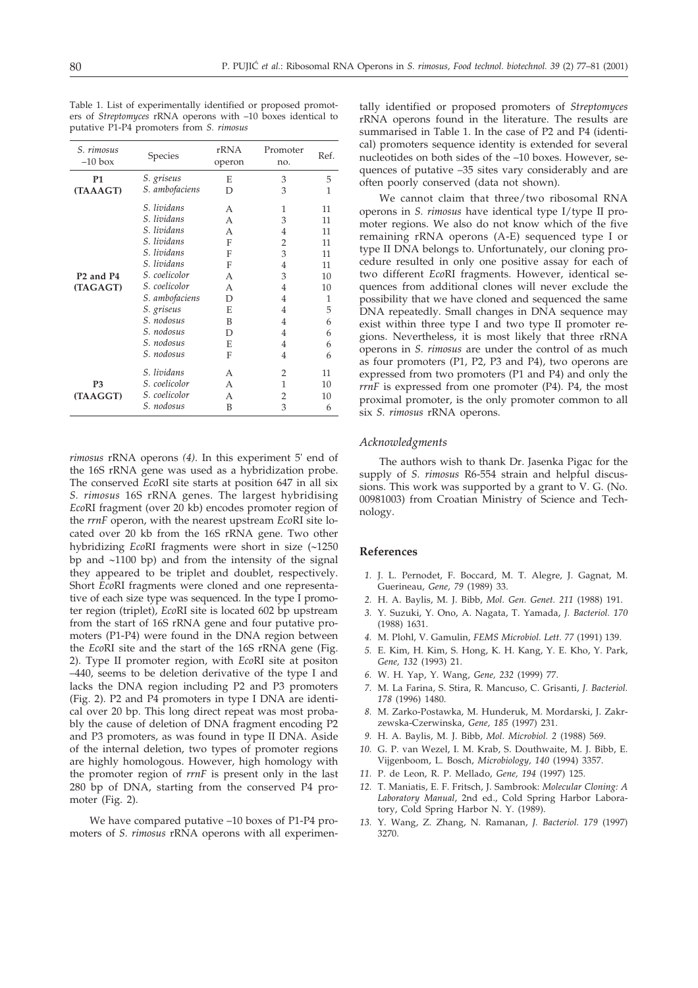| S. rimosus<br>$-10$ box           | Species        | rRNA<br>operon | Promoter<br>no. | Ref. |
|-----------------------------------|----------------|----------------|-----------------|------|
| <b>P1</b>                         | S. griseus     | E              | 3               | 5    |
| (TAAAGT)                          | S. ambofaciens | D              | 3               | 1    |
|                                   | S. lividans    | А              | 1               | 11   |
|                                   | S. lividans    | A              | 3               | 11   |
|                                   | S. lividans    | A              | 4               | 11   |
|                                   | S. lividans    | F              | 2               | 11   |
|                                   | S. lividans    | F              | 3               | 11   |
|                                   | S. lividans    | F              | 4               | 11   |
| P <sub>2</sub> and P <sub>4</sub> | S. coelicolor  | A              | 3               | 10   |
| (TAGAGT)                          | S. coelicolor  | A              | 4               | 10   |
|                                   | S. ambofaciens | D              | 4               | 1    |
|                                   | S. griseus     | E              | 4               | 5    |
|                                   | S. nodosus     | B              | 4               | 6    |
|                                   | S. nodosus     | D              | 4               | 6    |
|                                   | S. nodosus     | E              | 4               | 6    |
|                                   | S. nodosus     | F              | 4               | 6    |
|                                   | S. lividans    | A              | 2               | 11   |
| P3                                | S. coelicolor  | A              | 1               | 10   |
| (TAAGGT)                          | S. coelicolor  | A              | 2               | 10   |
|                                   | S. nodosus     | B              | 3               | 6    |

Table 1. List of experimentally identified or proposed promoters of *Streptomyces* rRNA operons with –10 boxes identical to putative P1-P4 promoters from *S. rimosus*

*rimosus* rRNA operons *(4)*. In this experiment 5' end of the 16S rRNA gene was used as a hybridization probe. The conserved *Eco*RI site starts at position 647 in all six *S. rimosus* 16S rRNA genes. The largest hybridising *Eco*RI fragment (over 20 kb) encodes promoter region of the *rrnF* operon, with the nearest upstream *Eco*RI site located over 20 kb from the 16S rRNA gene. Two other hybridizing *EcoRI* fragments were short in size (~1250 bp and  $~1100$  bp) and from the intensity of the signal they appeared to be triplet and doublet, respectively. Short *Eco*RI fragments were cloned and one representative of each size type was sequenced. In the type I promoter region (triplet), *Eco*RI site is located 602 bp upstream from the start of 16S rRNA gene and four putative promoters (P1-P4) were found in the DNA region between the *Eco*RI site and the start of the 16S rRNA gene (Fig. 2). Type II promoter region, with *Eco*RI site at positon –440, seems to be deletion derivative of the type I and lacks the DNA region including P2 and P3 promoters (Fig. 2). P2 and P4 promoters in type I DNA are identical over 20 bp. This long direct repeat was most probably the cause of deletion of DNA fragment encoding P2 and P3 promoters, as was found in type II DNA. Aside of the internal deletion, two types of promoter regions are highly homologous. However, high homology with the promoter region of *rrnF* is present only in the last 280 bp of DNA, starting from the conserved P4 promoter (Fig. 2).

We have compared putative –10 boxes of P1-P4 promoters of *S. rimosus* rRNA operons with all experimentally identified or proposed promoters of *Streptomyces* rRNA operons found in the literature. The results are summarised in Table 1. In the case of P2 and P4 (identical) promoters sequence identity is extended for several nucleotides on both sides of the –10 boxes. However, sequences of putative –35 sites vary considerably and are often poorly conserved (data not shown).

We cannot claim that three/two ribosomal RNA operons in *S. rimosus* have identical type I/type II promoter regions. We also do not know which of the five remaining rRNA operons (A-E) sequenced type I or type II DNA belongs to. Unfortunately, our cloning procedure resulted in only one positive assay for each of two different *Eco*RI fragments. However, identical sequences from additional clones will never exclude the possibility that we have cloned and sequenced the same DNA repeatedly. Small changes in DNA sequence may exist within three type I and two type II promoter regions. Nevertheless, it is most likely that three rRNA operons in *S. rimosus* are under the control of as much as four promoters (P1, P2, P3 and P4), two operons are expressed from two promoters (P1 and P4) and only the *rrnF* is expressed from one promoter (P4). P4, the most proximal promoter, is the only promoter common to all six *S. rimosus* rRNA operons.

## *Acknowledgments*

The authors wish to thank Dr. Jasenka Pigac for the supply of *S. rimosus* R6-554 strain and helpful discussions. This work was supported by a grant to V. G. (No. 00981003) from Croatian Ministry of Science and Technology.

#### **References**

- *1.* J. L. Pernodet, F. Boccard, M. T. Alegre, J. Gagnat, M. Guerineau, *Gene, 79* (1989) 33.
- *2.* H. A. Baylis, M. J. Bibb, *Mol. Gen. Genet. 211* (1988) 191.
- *3.* Y. Suzuki, Y. Ono, A. Nagata, T. Yamada, *J. Bacteriol. 170* (1988) 1631.
- *4.* M. Plohl, V. Gamulin, *FEMS Microbiol. Lett. 77* (1991) 139.
- *5.* E. Kim, H. Kim, S. Hong, K. H. Kang, Y. E. Kho, Y. Park, *Gene, 132* (1993) 21.
- *6.* W. H. Yap, Y. Wang, *Gene, 232* (1999) 77.
- *7.* M. La Farina, S. Stira, R. Mancuso, C. Grisanti, *J. Bacteriol. 178* (1996) 1480.
- *8.* M. Zarko-Postawka, M. Hunderuk, M. Mordarski, J. Zakrzewska-Czerwinska, *Gene, 185* (1997) 231.
- *9.* H. A. Baylis, M. J. Bibb, *Mol. Microbiol. 2* (1988) 569.
- *10.* G. P. van Wezel, I. M. Krab, S. Douthwaite, M. J. Bibb, E. Vijgenboom, L. Bosch, *Microbiology, 140* (1994) 3357.
- *11.* P. de Leon, R. P. Mellado, *Gene, 194* (1997) 125.
- *12.* T. Maniatis, E. F. Fritsch, J. Sambrook: *Molecular Cloning: A Laboratory Manual*, 2nd ed., Cold Spring Harbor Laboratory, Cold Spring Harbor N. Y. (1989).
- *13.* Y. Wang, Z. Zhang, N. Ramanan, *J. Bacteriol. 179* (1997) 3270.